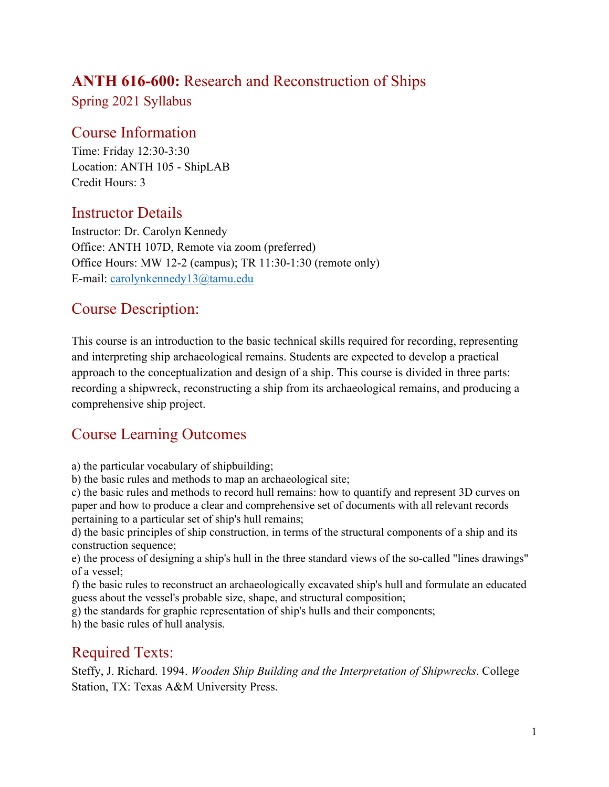## **ANTH 616-600:** Research and Reconstruction of Ships

Spring 2021 Syllabus

### Course Information

Time: Friday 12:30-3:30 Location: ANTH 105 - ShipLAB Credit Hours: 3

### Instructor Details

Instructor: Dr. Carolyn Kennedy Office: ANTH 107D, Remote via zoom (preferred) Office Hours: MW 12-2 (campus); TR 11:30-1:30 (remote only) E-mail: [carolynkennedy13@tamu.edu](mailto:carolynkennedy13@tamu.edu)

### Course Description:

This course is an introduction to the basic technical skills required for recording, representing and interpreting ship archaeological remains. Students are expected to develop a practical approach to the conceptualization and design of a ship. This course is divided in three parts: recording a shipwreck, reconstructing a ship from its archaeological remains, and producing a comprehensive ship project.

## Course Learning Outcomes

a) the particular vocabulary of shipbuilding;

b) the basic rules and methods to map an archaeological site;

c) the basic rules and methods to record hull remains: how to quantify and represent 3D curves on paper and how to produce a clear and comprehensive set of documents with all relevant records pertaining to a particular set of ship's hull remains;

d) the basic principles of ship construction, in terms of the structural components of a ship and its construction sequence;

e) the process of designing a ship's hull in the three standard views of the so-called "lines drawings" of a vessel;

f) the basic rules to reconstruct an archaeologically excavated ship's hull and formulate an educated guess about the vessel's probable size, shape, and structural composition;

g) the standards for graphic representation of ship's hulls and their components;

h) the basic rules of hull analysis.

## Required Texts:

Steffy, J. Richard. 1994. *Wooden Ship Building and the Interpretation of Shipwrecks*. College Station, TX: Texas A&M University Press.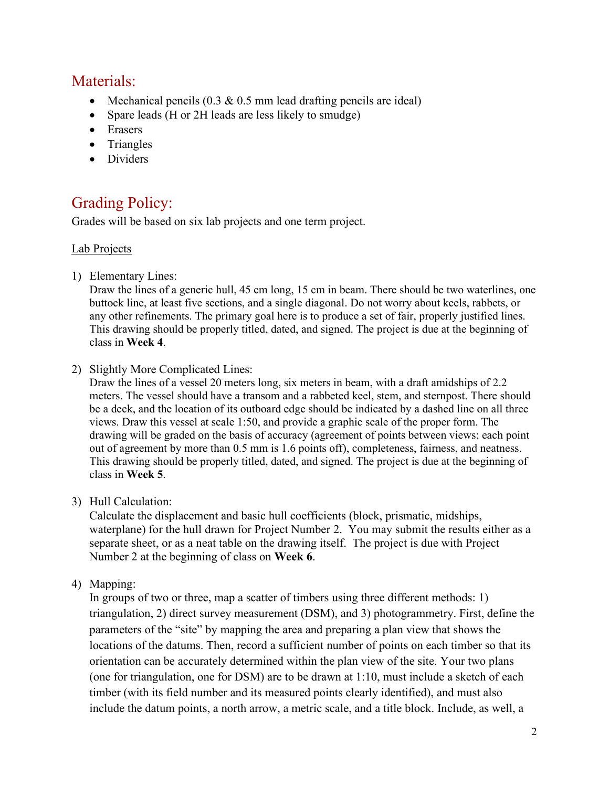### Materials:

- Mechanical pencils  $(0.3 \& 0.5 \text{ mm}$  lead drafting pencils are ideal)
- Spare leads (H or 2H leads are less likely to smudge)
- Erasers
- Triangles
- Dividers

# Grading Policy:

Grades will be based on six lab projects and one term project.

#### Lab Projects

1) Elementary Lines:

Draw the lines of a generic hull, 45 cm long, 15 cm in beam. There should be two waterlines, one buttock line, at least five sections, and a single diagonal. Do not worry about keels, rabbets, or any other refinements. The primary goal here is to produce a set of fair, properly justified lines. This drawing should be properly titled, dated, and signed. The project is due at the beginning of class in **Week 4**.

2) Slightly More Complicated Lines:

Draw the lines of a vessel 20 meters long, six meters in beam, with a draft amidships of 2.2 meters. The vessel should have a transom and a rabbeted keel, stem, and sternpost. There should be a deck, and the location of its outboard edge should be indicated by a dashed line on all three views. Draw this vessel at scale 1:50, and provide a graphic scale of the proper form. The drawing will be graded on the basis of accuracy (agreement of points between views; each point out of agreement by more than 0.5 mm is 1.6 points off), completeness, fairness, and neatness. This drawing should be properly titled, dated, and signed. The project is due at the beginning of class in **Week 5**.

3) Hull Calculation:

Calculate the displacement and basic hull coefficients (block, prismatic, midships, waterplane) for the hull drawn for Project Number 2. You may submit the results either as a separate sheet, or as a neat table on the drawing itself. The project is due with Project Number 2 at the beginning of class on **Week 6**.

4) Mapping:

In groups of two or three, map a scatter of timbers using three different methods: 1) triangulation, 2) direct survey measurement (DSM), and 3) photogrammetry. First, define the parameters of the "site" by mapping the area and preparing a plan view that shows the locations of the datums. Then, record a sufficient number of points on each timber so that its orientation can be accurately determined within the plan view of the site. Your two plans (one for triangulation, one for DSM) are to be drawn at 1:10, must include a sketch of each timber (with its field number and its measured points clearly identified), and must also include the datum points, a north arrow, a metric scale, and a title block. Include, as well, a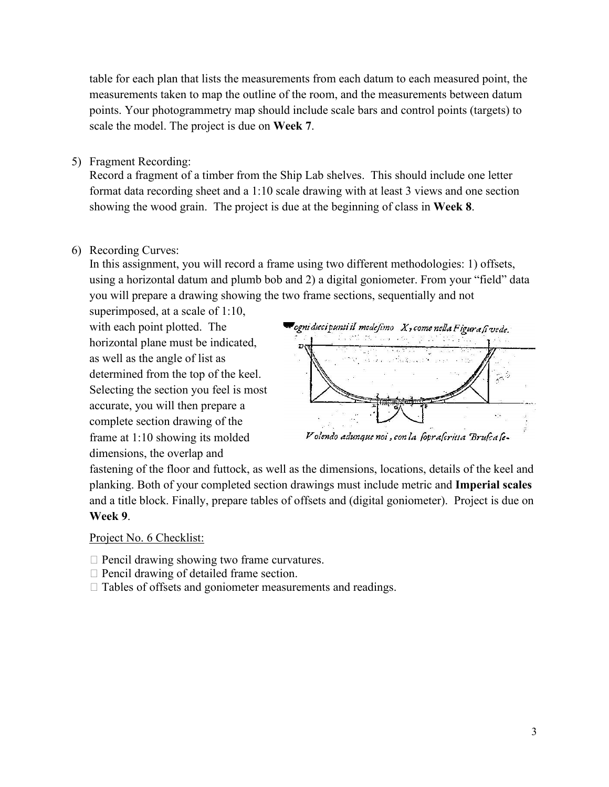table for each plan that lists the measurements from each datum to each measured point, the measurements taken to map the outline of the room, and the measurements between datum points. Your photogrammetry map should include scale bars and control points (targets) to scale the model. The project is due on **Week 7**.

5) Fragment Recording:

Record a fragment of a timber from the Ship Lab shelves. This should include one letter format data recording sheet and a 1:10 scale drawing with at least 3 views and one section showing the wood grain. The project is due at the beginning of class in **Week 8**.

6) Recording Curves:

In this assignment, you will record a frame using two different methodologies: 1) offsets, using a horizontal datum and plumb bob and 2) a digital goniometer. From your "field" data you will prepare a drawing showing the two frame sections, sequentially and not

superimposed, at a scale of 1:10, with each point plotted. The horizontal plane must be indicated, as well as the angle of list as determined from the top of the keel. Selecting the section you feel is most accurate, you will then prepare a complete section drawing of the frame at 1:10 showing its molded dimensions, the overlap and



fastening of the floor and futtock, as well as the dimensions, locations, details of the keel and planking. Both of your completed section drawings must include metric and **Imperial scales** and a title block. Finally, prepare tables of offsets and (digital goniometer). Project is due on **Week 9**.

#### Project No. 6 Checklist:

- $\Box$  Pencil drawing showing two frame curvatures.
- $\Box$  Pencil drawing of detailed frame section.
- $\Box$  Tables of offsets and goniometer measurements and readings.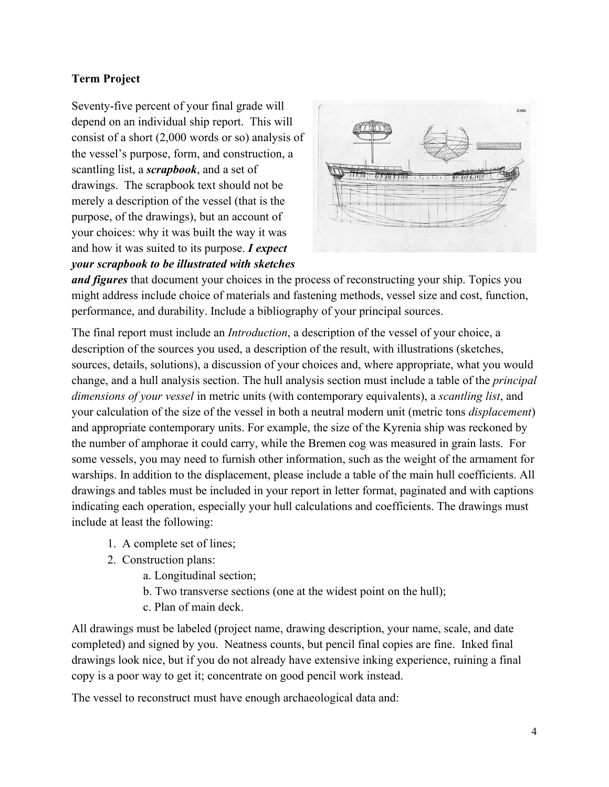### **Term Project**

Seventy-five percent of your final grade will depend on an individual ship report. This will consist of a short (2,000 words or so) analysis of the vessel's purpose, form, and construction, a scantling list, a *scrapbook*, and a set of drawings. The scrapbook text should not be merely a description of the vessel (that is the purpose, of the drawings), but an account of your choices: why it was built the way it was and how it was suited to its purpose. *I expect your scrapbook to be illustrated with sketches* 



*and figures* that document your choices in the process of reconstructing your ship. Topics you might address include choice of materials and fastening methods, vessel size and cost, function, performance, and durability. Include a bibliography of your principal sources.

The final report must include an *Introduction*, a description of the vessel of your choice, a description of the sources you used, a description of the result, with illustrations (sketches, sources, details, solutions), a discussion of your choices and, where appropriate, what you would change, and a hull analysis section. The hull analysis section must include a table of the *principal dimensions of your vessel* in metric units (with contemporary equivalents), a *scantling list*, and your calculation of the size of the vessel in both a neutral modern unit (metric tons *displacement*) and appropriate contemporary units. For example, the size of the Kyrenia ship was reckoned by the number of amphorae it could carry, while the Bremen cog was measured in grain lasts. For some vessels, you may need to furnish other information, such as the weight of the armament for warships. In addition to the displacement, please include a table of the main hull coefficients. All drawings and tables must be included in your report in letter format, paginated and with captions indicating each operation, especially your hull calculations and coefficients. The drawings must include at least the following:

- 1. A complete set of lines;
- 2. Construction plans:
	- a. Longitudinal section;
	- b. Two transverse sections (one at the widest point on the hull);
	- c. Plan of main deck.

All drawings must be labeled (project name, drawing description, your name, scale, and date completed) and signed by you. Neatness counts, but pencil final copies are fine. Inked final drawings look nice, but if you do not already have extensive inking experience, ruining a final copy is a poor way to get it; concentrate on good pencil work instead.

The vessel to reconstruct must have enough archaeological data and: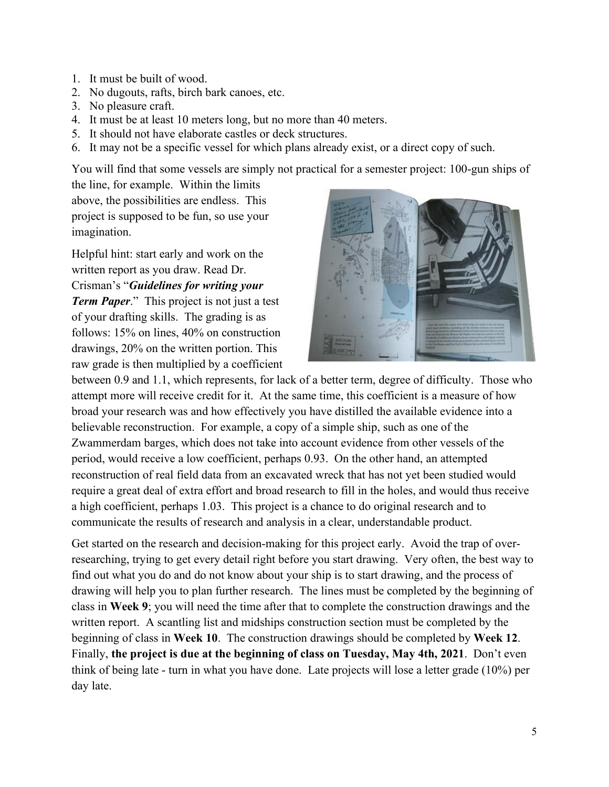- 1. It must be built of wood.
- 2. No dugouts, rafts, birch bark canoes, etc.
- 3. No pleasure craft.
- 4. It must be at least 10 meters long, but no more than 40 meters.
- 5. It should not have elaborate castles or deck structures.
- 6. It may not be a specific vessel for which plans already exist, or a direct copy of such.

You will find that some vessels are simply not practical for a semester project: 100-gun ships of

the line, for example. Within the limits above, the possibilities are endless. This project is supposed to be fun, so use your imagination.

Helpful hint: start early and work on the written report as you draw. Read Dr. Crisman's "*Guidelines for writing your Term Paper*." This project is not just a test of your drafting skills. The grading is as follows: 15% on lines, 40% on construction drawings, 20% on the written portion. This raw grade is then multiplied by a coefficient



between 0.9 and 1.1, which represents, for lack of a better term, degree of difficulty. Those who attempt more will receive credit for it. At the same time, this coefficient is a measure of how broad your research was and how effectively you have distilled the available evidence into a believable reconstruction. For example, a copy of a simple ship, such as one of the Zwammerdam barges, which does not take into account evidence from other vessels of the period, would receive a low coefficient, perhaps 0.93. On the other hand, an attempted reconstruction of real field data from an excavated wreck that has not yet been studied would require a great deal of extra effort and broad research to fill in the holes, and would thus receive a high coefficient, perhaps 1.03. This project is a chance to do original research and to communicate the results of research and analysis in a clear, understandable product.

Get started on the research and decision-making for this project early. Avoid the trap of overresearching, trying to get every detail right before you start drawing. Very often, the best way to find out what you do and do not know about your ship is to start drawing, and the process of drawing will help you to plan further research. The lines must be completed by the beginning of class in **Week 9**; you will need the time after that to complete the construction drawings and the written report. A scantling list and midships construction section must be completed by the beginning of class in **Week 10**. The construction drawings should be completed by **Week 12**. Finally, **the project is due at the beginning of class on Tuesday, May 4th, 2021**. Don't even think of being late - turn in what you have done. Late projects will lose a letter grade (10%) per day late.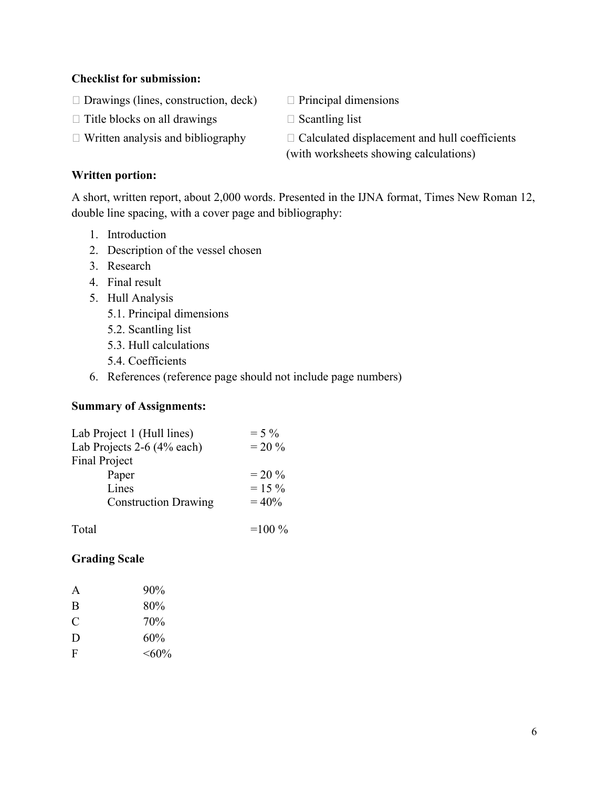#### **Checklist for submission:**

- $\Box$  Drawings (lines, construction, deck)  $\Box$  Principal dimensions
- $\Box$  Title blocks on all drawings  $\Box$  Scantling list
- 
- 
- 
- $\Box$  Written analysis and bibliography  $\Box$  Calculated displacement and hull coefficients (with worksheets showing calculations)

#### **Written portion:**

A short, written report, about 2,000 words. Presented in the IJNA format, Times New Roman 12, double line spacing, with a cover page and bibliography:

- 1. Introduction
- 2. Description of the vessel chosen
- 3. Research
- 4. Final result
- 5. Hull Analysis
	- 5.1. Principal dimensions
	- 5.2. Scantling list
	- 5.3. Hull calculations
	- 5.4. Coefficients
- 6. References (reference page should not include page numbers)

#### **Summary of Assignments:**

| Lab Project 1 (Hull lines)  | $= 5\%$  |
|-----------------------------|----------|
| Lab Projects 2-6 (4% each)  | $= 20\%$ |
| <b>Final Project</b>        |          |
| Paper                       | $= 20\%$ |
| Lines                       | $= 15\%$ |
| <b>Construction Drawing</b> | $= 40\%$ |
|                             |          |

| Total | $=100\%$ |
|-------|----------|
|       |          |

#### **Grading Scale**

| A | 90%      |
|---|----------|
| B | 80%      |
| C | 70%      |
| D | 60%      |
| F | $<,60\%$ |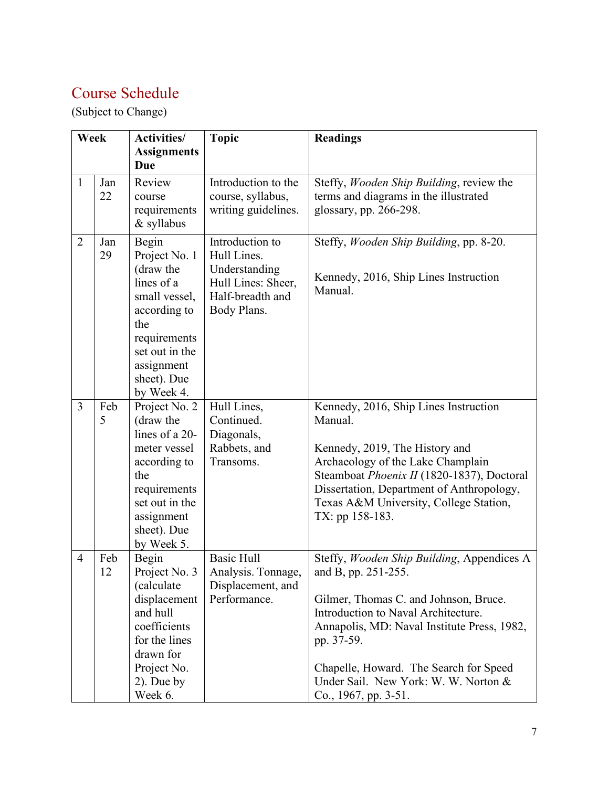# Course Schedule

(Subject to Change)

| Week           |           | <b>Activities/</b>                                                                                                                                                     | <b>Topic</b>                                                                                             | <b>Readings</b>                                                                                                                                                                                                                                                                                                          |
|----------------|-----------|------------------------------------------------------------------------------------------------------------------------------------------------------------------------|----------------------------------------------------------------------------------------------------------|--------------------------------------------------------------------------------------------------------------------------------------------------------------------------------------------------------------------------------------------------------------------------------------------------------------------------|
|                |           | <b>Assignments</b><br>Due                                                                                                                                              |                                                                                                          |                                                                                                                                                                                                                                                                                                                          |
| $\mathbf{1}$   | Jan<br>22 | Review<br>course<br>requirements<br>& syllabus                                                                                                                         | Introduction to the<br>course, syllabus,<br>writing guidelines.                                          | Steffy, Wooden Ship Building, review the<br>terms and diagrams in the illustrated<br>glossary, pp. 266-298.                                                                                                                                                                                                              |
| $\overline{2}$ | Jan<br>29 | Begin<br>Project No. 1<br>(draw the<br>lines of a<br>small vessel,<br>according to<br>the<br>requirements<br>set out in the<br>assignment<br>sheet). Due<br>by Week 4. | Introduction to<br>Hull Lines.<br>Understanding<br>Hull Lines: Sheer,<br>Half-breadth and<br>Body Plans. | Steffy, Wooden Ship Building, pp. 8-20.<br>Kennedy, 2016, Ship Lines Instruction<br>Manual.                                                                                                                                                                                                                              |
| $\overline{3}$ | Feb<br>5  | Project No. 2<br>(draw the<br>lines of a 20-<br>meter vessel<br>according to<br>the<br>requirements<br>set out in the<br>assignment<br>sheet). Due<br>by Week 5.       | Hull Lines,<br>Continued.<br>Diagonals,<br>Rabbets, and<br>Transoms.                                     | Kennedy, 2016, Ship Lines Instruction<br>Manual.<br>Kennedy, 2019, The History and<br>Archaeology of the Lake Champlain<br>Steamboat Phoenix II (1820-1837), Doctoral<br>Dissertation, Department of Anthropology,<br>Texas A&M University, College Station,<br>TX: pp 158-183.                                          |
| $\overline{4}$ | Feb<br>12 | Begin<br>Project No. 3<br>(calculate)<br>displacement<br>and hull<br>coefficients<br>for the lines<br>drawn for<br>Project No.<br>$2)$ . Due by<br>Week 6.             | <b>Basic Hull</b><br>Analysis. Tonnage,<br>Displacement, and<br>Performance.                             | Steffy, Wooden Ship Building, Appendices A<br>and B, pp. 251-255.<br>Gilmer, Thomas C. and Johnson, Bruce.<br>Introduction to Naval Architecture.<br>Annapolis, MD: Naval Institute Press, 1982,<br>pp. 37-59.<br>Chapelle, Howard. The Search for Speed<br>Under Sail. New York: W. W. Norton &<br>Co., 1967, pp. 3-51. |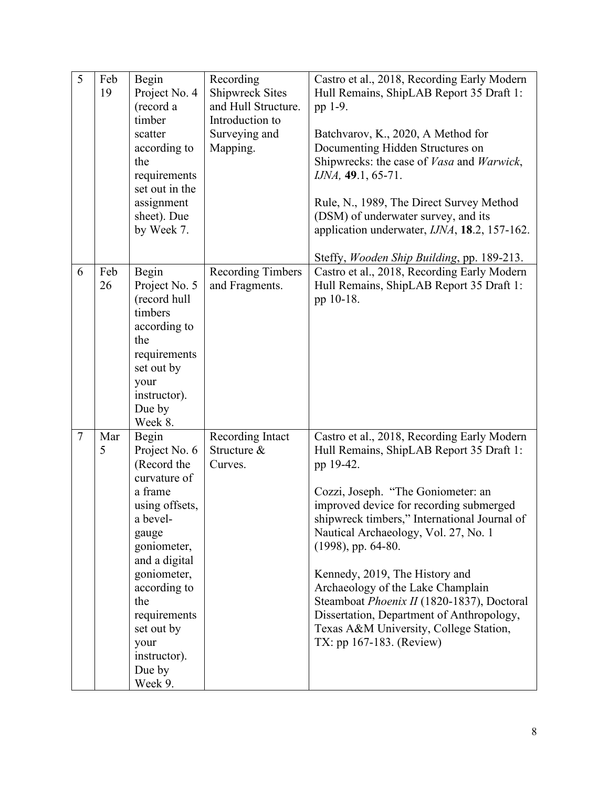| 5              | Feb<br>19 | Begin<br>Project No. 4<br>(record a<br>timber<br>scatter<br>according to<br>the<br>requirements<br>set out in the<br>assignment<br>sheet). Due<br>by Week 7.                                                                                             | Recording<br>Shipwreck Sites<br>and Hull Structure.<br>Introduction to<br>Surveying and<br>Mapping. | Castro et al., 2018, Recording Early Modern<br>Hull Remains, ShipLAB Report 35 Draft 1:<br>pp 1-9.<br>Batchvarov, K., 2020, A Method for<br>Documenting Hidden Structures on<br>Shipwrecks: the case of <i>Vasa</i> and <i>Warwick</i> ,<br>IJNA, 49.1, 65-71.<br>Rule, N., 1989, The Direct Survey Method<br>(DSM) of underwater survey, and its<br>application underwater, IJNA, 18.2, 157-162.<br>Steffy, Wooden Ship Building, pp. 189-213.                                                                                             |
|----------------|-----------|----------------------------------------------------------------------------------------------------------------------------------------------------------------------------------------------------------------------------------------------------------|-----------------------------------------------------------------------------------------------------|---------------------------------------------------------------------------------------------------------------------------------------------------------------------------------------------------------------------------------------------------------------------------------------------------------------------------------------------------------------------------------------------------------------------------------------------------------------------------------------------------------------------------------------------|
| 6              | Feb<br>26 | Begin<br>Project No. 5<br>(record hull<br>timbers<br>according to<br>the<br>requirements<br>set out by<br>your<br>instructor).<br>Due by<br>Week 8.                                                                                                      | <b>Recording Timbers</b><br>and Fragments.                                                          | Castro et al., 2018, Recording Early Modern<br>Hull Remains, ShipLAB Report 35 Draft 1:<br>pp 10-18.                                                                                                                                                                                                                                                                                                                                                                                                                                        |
| $\overline{7}$ | Mar<br>5  | Begin<br>Project No. 6<br>(Record the<br>curvature of<br>a frame<br>using offsets,<br>a bevel-<br>gauge<br>goniometer,<br>and a digital<br>goniometer,<br>according to<br>the<br>requirements<br>set out by<br>your<br>instructor).<br>Due by<br>Week 9. | Recording Intact<br>Structure &<br>Curves.                                                          | Castro et al., 2018, Recording Early Modern<br>Hull Remains, ShipLAB Report 35 Draft 1:<br>pp 19-42.<br>Cozzi, Joseph. "The Goniometer: an<br>improved device for recording submerged<br>shipwreck timbers," International Journal of<br>Nautical Archaeology, Vol. 27, No. 1<br>(1998), pp. 64-80.<br>Kennedy, 2019, The History and<br>Archaeology of the Lake Champlain<br>Steamboat Phoenix II (1820-1837), Doctoral<br>Dissertation, Department of Anthropology,<br>Texas A&M University, College Station,<br>TX: pp 167-183. (Review) |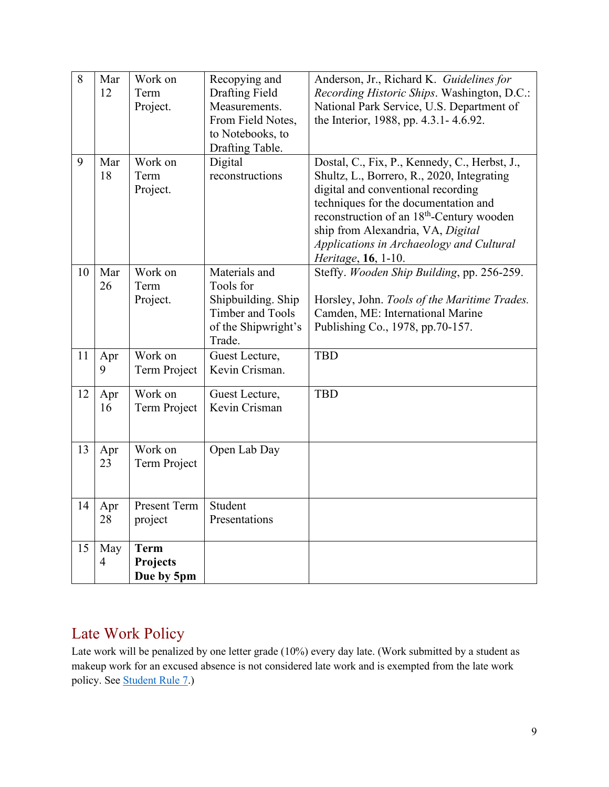| 8  | Mar            | Work on             | Recopying and           | Anderson, Jr., Richard K. Guidelines for              |
|----|----------------|---------------------|-------------------------|-------------------------------------------------------|
|    | 12             | Term                | <b>Drafting Field</b>   | Recording Historic Ships. Washington, D.C.:           |
|    |                | Project.            | Measurements.           | National Park Service, U.S. Department of             |
|    |                |                     | From Field Notes,       | the Interior, 1988, pp. 4.3.1 - 4.6.92.               |
|    |                |                     | to Notebooks, to        |                                                       |
|    |                |                     | Drafting Table.         |                                                       |
| 9  | Mar            | Work on             | Digital                 | Dostal, C., Fix, P., Kennedy, C., Herbst, J.,         |
|    | 18             | Term                | reconstructions         | Shultz, L., Borrero, R., 2020, Integrating            |
|    |                | Project.            |                         | digital and conventional recording                    |
|    |                |                     |                         | techniques for the documentation and                  |
|    |                |                     |                         | reconstruction of an 18 <sup>th</sup> -Century wooden |
|    |                |                     |                         | ship from Alexandria, VA, Digital                     |
|    |                |                     |                         | Applications in Archaeology and Cultural              |
|    |                |                     |                         | Heritage, 16, 1-10.                                   |
| 10 | Mar            | Work on             | Materials and           | Steffy. Wooden Ship Building, pp. 256-259.            |
|    | 26             | Term                | Tools for               |                                                       |
|    |                | Project.            | Shipbuilding. Ship      | Horsley, John. Tools of the Maritime Trades.          |
|    |                |                     | <b>Timber and Tools</b> | Camden, ME: International Marine                      |
|    |                |                     | of the Shipwright's     | Publishing Co., 1978, pp.70-157.                      |
|    |                |                     | Trade.                  |                                                       |
| 11 | Apr            | Work on             | Guest Lecture,          | <b>TBD</b>                                            |
|    | 9              | Term Project        | Kevin Crisman.          |                                                       |
|    |                |                     |                         |                                                       |
| 12 | Apr            | Work on             | Guest Lecture,          | <b>TBD</b>                                            |
|    | 16             | Term Project        | Kevin Crisman           |                                                       |
|    |                |                     |                         |                                                       |
|    |                |                     |                         |                                                       |
| 13 | Apr            | Work on             | Open Lab Day            |                                                       |
|    | 23             | Term Project        |                         |                                                       |
|    |                |                     |                         |                                                       |
|    |                |                     |                         |                                                       |
| 14 | Apr            | <b>Present Term</b> | Student                 |                                                       |
|    | 28             | project             | Presentations           |                                                       |
|    |                |                     |                         |                                                       |
| 15 | May            | <b>Term</b>         |                         |                                                       |
|    | $\overline{4}$ | <b>Projects</b>     |                         |                                                       |
|    |                | Due by 5pm          |                         |                                                       |

## Late Work Policy

Late work will be penalized by one letter grade (10%) every day late. (Work submitted by a student as makeup work for an excused absence is not considered late work and is exempted from the late work policy. See [Student Rule 7.](https://student-rules.tamu.edu/rule07/))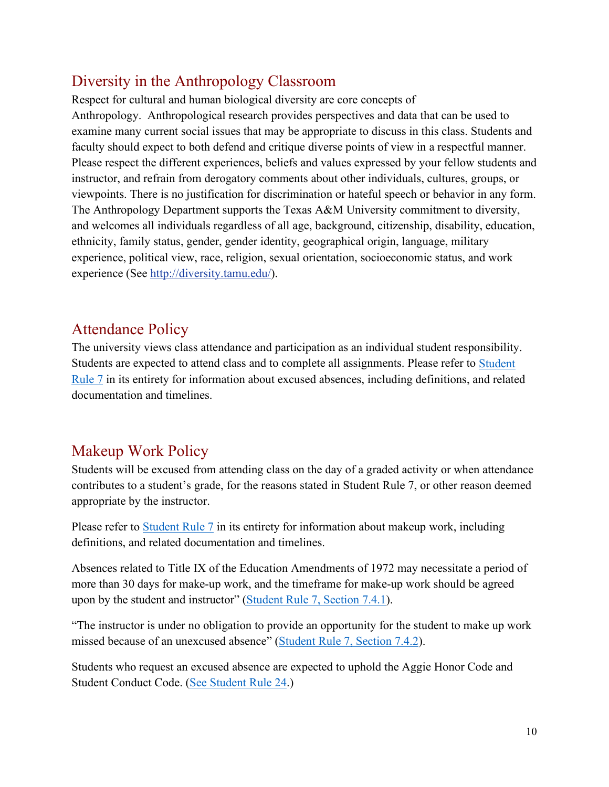### Diversity in the Anthropology Classroom

Respect for cultural and human biological diversity are core concepts of Anthropology. Anthropological research provides perspectives and data that can be used to examine many current social issues that may be appropriate to discuss in this class. Students and faculty should expect to both defend and critique diverse points of view in a respectful manner. Please respect the different experiences, beliefs and values expressed by your fellow students and instructor, and refrain from derogatory comments about other individuals, cultures, groups, or viewpoints. There is no justification for discrimination or hateful speech or behavior in any form. The Anthropology Department supports the Texas A&M University commitment to diversity, and welcomes all individuals regardless of all age, background, citizenship, disability, education, ethnicity, family status, gender, gender identity, geographical origin, language, military experience, political view, race, religion, sexual orientation, socioeconomic status, and work experience (See [http://diversity.tamu.edu/\)](http://diversity.tamu.edu/).

### Attendance Policy

The university views class attendance and participation as an individual student responsibility. Students are expected to attend class and to complete all assignments. Please refer to [Student](https://student-rules.tamu.edu/rule07/)  [Rule 7](https://student-rules.tamu.edu/rule07/) in its entirety for information about excused absences, including definitions, and related documentation and timelines.

## Makeup Work Policy

Students will be excused from attending class on the day of a graded activity or when attendance contributes to a student's grade, for the reasons stated in Student Rule 7, or other reason deemed appropriate by the instructor.

Please refer to [Student Rule 7](https://student-rules.tamu.edu/rule07/) in its entirety for information about makeup work, including definitions, and related documentation and timelines.

Absences related to Title IX of the Education Amendments of 1972 may necessitate a period of more than 30 days for make-up work, and the timeframe for make-up work should be agreed upon by the student and instructor" [\(Student Rule 7, Section 7.4.1\)](https://student-rules.tamu.edu/rule07).

"The instructor is under no obligation to provide an opportunity for the student to make up work missed because of an unexcused absence" [\(Student Rule 7, Section 7.4.2\)](https://student-rules.tamu.edu/rule07).

Students who request an excused absence are expected to uphold the Aggie Honor Code and Student Conduct Code. [\(See Student Rule 24.](https://student-rules.tamu.edu/rule24/))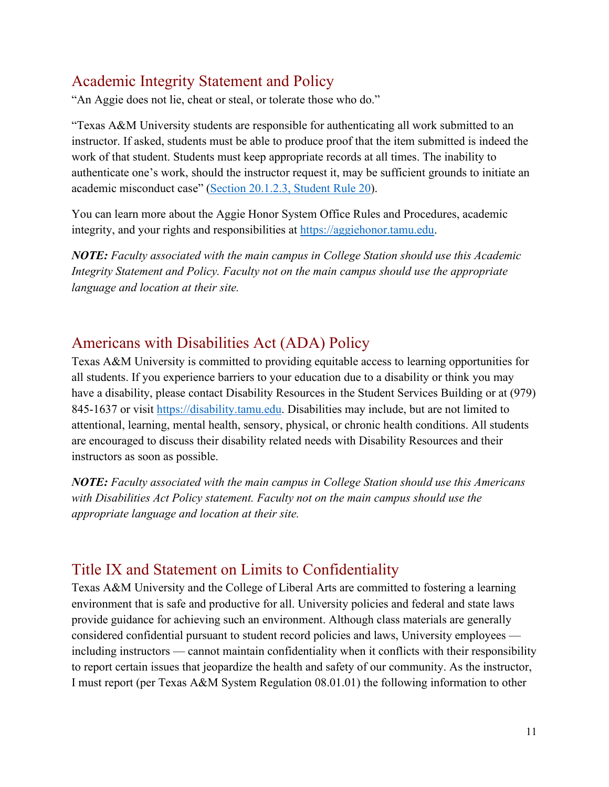### Academic Integrity Statement and Policy

"An Aggie does not lie, cheat or steal, or tolerate those who do."

"Texas A&M University students are responsible for authenticating all work submitted to an instructor. If asked, students must be able to produce proof that the item submitted is indeed the work of that student. Students must keep appropriate records at all times. The inability to authenticate one's work, should the instructor request it, may be sufficient grounds to initiate an academic misconduct case" [\(Section 20.1.2.3, Student Rule 20\)](https://aggiehonor.tamu.edu/Rules-and-Procedures/Rules/Honor-System-Rules).

You can learn more about the Aggie Honor System Office Rules and Procedures, academic integrity, and your rights and responsibilities at [https://aggiehonor.tamu.edu.](https://aggiehonor.tamu.edu/)

*NOTE: Faculty associated with the main campus in College Station should use this Academic Integrity Statement and Policy. Faculty not on the main campus should use the appropriate language and location at their site.*

### Americans with Disabilities Act (ADA) Policy

Texas A&M University is committed to providing equitable access to learning opportunities for all students. If you experience barriers to your education due to a disability or think you may have a disability, please contact Disability Resources in the Student Services Building or at (979) 845-1637 or visit [https://disability.tamu.edu.](https://disability.tamu.edu/) Disabilities may include, but are not limited to attentional, learning, mental health, sensory, physical, or chronic health conditions. All students are encouraged to discuss their disability related needs with Disability Resources and their instructors as soon as possible.

*NOTE: Faculty associated with the main campus in College Station should use this Americans with Disabilities Act Policy statement. Faculty not on the main campus should use the appropriate language and location at their site.*

## Title IX and Statement on Limits to Confidentiality

Texas A&M University and the College of Liberal Arts are committed to fostering a learning environment that is safe and productive for all. University policies and federal and state laws provide guidance for achieving such an environment. Although class materials are generally considered confidential pursuant to student record policies and laws, University employees including instructors — cannot maintain confidentiality when it conflicts with their responsibility to report certain issues that jeopardize the health and safety of our community. As the instructor, I must report (per Texas A&M System Regulation 08.01.01) the following information to other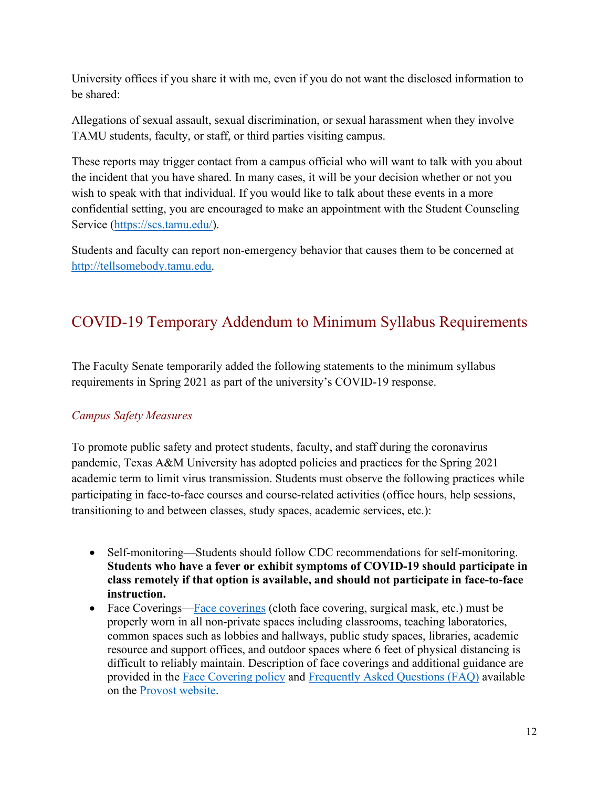University offices if you share it with me, even if you do not want the disclosed information to be shared:

Allegations of sexual assault, sexual discrimination, or sexual harassment when they involve TAMU students, faculty, or staff, or third parties visiting campus.

These reports may trigger contact from a campus official who will want to talk with you about the incident that you have shared. In many cases, it will be your decision whether or not you wish to speak with that individual. If you would like to talk about these events in a more confidential setting, you are encouraged to make an appointment with the Student Counseling Service [\(https://scs.tamu.edu/\)](https://scs.tamu.edu/).

Students and faculty can report non-emergency behavior that causes them to be concerned at [http://tellsomebody.tamu.edu.](http://tellsomebody.tamu.edu/)

# COVID-19 Temporary Addendum to Minimum Syllabus Requirements

The Faculty Senate temporarily added the following statements to the minimum syllabus requirements in Spring 2021 as part of the university's COVID-19 response.

### *Campus Safety Measures*

To promote public safety and protect students, faculty, and staff during the coronavirus pandemic, Texas A&M University has adopted policies and practices for the Spring 2021 academic term to limit virus transmission. Students must observe the following practices while participating in face-to-face courses and course-related activities (office hours, help sessions, transitioning to and between classes, study spaces, academic services, etc.):

- Self-monitoring—Students should follow CDC recommendations for self-monitoring. **Students who have a fever or exhibit symptoms of COVID-19 should participate in class remotely if that option is available, and should not participate in face-to-face instruction.**
- Face Coverings[—Face coverings](https://rules-saps.tamu.edu/PDFs/34.99.99.M0.03.pdf) (cloth face covering, surgical mask, etc.) must be properly worn in all non-private spaces including classrooms, teaching laboratories, common spaces such as lobbies and hallways, public study spaces, libraries, academic resource and support offices, and outdoor spaces where 6 feet of physical distancing is difficult to reliably maintain. Description of face coverings and additional guidance are provided in the [Face Covering policy](https://rules-saps.tamu.edu/PDFs/34.99.99.M0.03.pdf) and [Frequently Asked Questions \(FAQ\)](https://provost.tamu.edu/Menu/News/TAMU-Face-Covering-FAQs) available on the [Provost website.](https://provost.tamu.edu/Menu/News/TAMU-Face-Covering-FAQs)